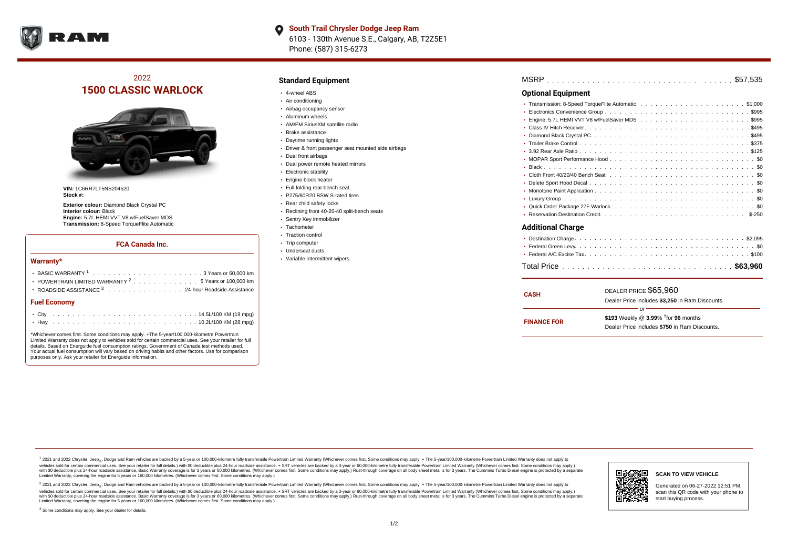

**South Trail Chrysler Dodge Jeep Ram**  $\bullet$ 6103 - 130th Avenue S.E., Calgary, AB, T2Z5E1 Phone: (587) 315-6273

# 2022 **1500 CLASSIC WARLOCK**



**VIN:** 1C6RR7LT5NS204520 **Stock #:**

**Exterior colour:** Diamond Black Crystal PC **Interior colour:** Black **Engine:** 5.7L HEMI VVT V8 w/FuelSaver MDS **Transmission:** 8-Speed TorqueFlite Automatic

#### **FCA Canada Inc.**

#### **Warranty\***

| POWERTRAIN LIMITED WARRANTY $2, \ldots, \ldots, \ldots, \ldots, 5$ Years or 100,000 km                                                                                   |
|--------------------------------------------------------------------------------------------------------------------------------------------------------------------------|
| • ROADSIDE ASSISTANCE $^3$ , , , , , , , , , , , , , , , , 24-hour Roadside Assistance                                                                                   |
| <b>Fuel Economy</b>                                                                                                                                                      |
| • City <b>Case 2018 City City City City City City City City City City City City City City City City City City City City City City City City City City City City City</b> |

\*Whichever comes first. Some conditions may apply. +The 5-year/100,000-kilometre Powertrain Limited Warranty does not apply to vehicles sold for certain commercial uses. See your retailer for full details. Based on Energuide fuel consumption ratings. Government of Canada test methods used. Your actual fuel consumption will vary based on driving habits and other factors. Use for comparison purposes only. Ask your retailer for Energuide information.

### **Standard Equipment**

- 4-wheel ABS
- Air conditioning
- Airbag occupancy sensor
- Aluminum wheels
- AM/FM SiriusXM satellite radio
- Brake assistance
- Daytime running lights
- Driver & front passenger seat mounted side airbags
- Dual front airbags
- Dual power remote heated mirrors
- **Electronic stability**
- Engine block heater
- Full folding rear bench seat
- P275/60R20 BSW S-rated tires
- Rear child safety locks
- Reclining front 40-20-40 split-bench seats
- Sentry Key immobilizer
- Tachometer • Traction control
- Trip computer
- Underseat ducts
- Variable intermittent wipers

| <b>MSRP</b> |  |  |  |  |  |  |  |  |  |  |  |  |  |  |  |  |  |  |  |  |  |  |  |  |  |  |  |  |  |  |  |  |  |  |  |  |  |  |  |  | 0.57.59E |  |  |
|-------------|--|--|--|--|--|--|--|--|--|--|--|--|--|--|--|--|--|--|--|--|--|--|--|--|--|--|--|--|--|--|--|--|--|--|--|--|--|--|--|--|----------|--|--|
|-------------|--|--|--|--|--|--|--|--|--|--|--|--|--|--|--|--|--|--|--|--|--|--|--|--|--|--|--|--|--|--|--|--|--|--|--|--|--|--|--|--|----------|--|--|

### **Optional Equipment**

#### **Additional Charge**

| <b>CASH</b>        | DEALER PRICE \$65,960                              |
|--------------------|----------------------------------------------------|
|                    | Dealer Price includes \$3.250 in Ram Discounts.    |
|                    | Ωr                                                 |
| <b>FINANCE FOR</b> | \$193 Weekly @ $3.99\%$ <sup>†</sup> for 96 months |
|                    | Dealer Price includes \$750 in Ram Discounts.      |
|                    |                                                    |

<sup>1</sup> 2021 and 2022 Chrysler, Jeep<sub>®</sub>, Dodge and Ram vehicles are backed by a 5-year or 100,000-kilometre fully transferable Powertrain Limited Warranty (Whichever comes first. Some conditions may apply. + The 5-year/100,000 vehicles sold for certain commercial uses. See your retailer for full details.) with \$0 deductible plus 24 hour roadside assistance. + SRT vehicles are backed by a 3-year or 60,000-kilometre fully transferable Powertrain L versus and contract the mean of the contract of the contract with a contract with a contract the contract of the contract of the contract the contract of the contract of the contract of the contract of the contract of the Limited Warranty, covering the engine for 5 years or 160,000 kilometres. (Whichever comes first. Some conditions may apply.)

2 2021 and 2022 Chrysler, Jeep<sub>®</sub>, Dodge and Ram vehicles are backed by a 5-year or 100,000-kilometre fully transferable Powertrain Limited Warranty (Whichever comes first. Some conditions may apply. + The 5-year/100,000-k vehicles sold for certain commercial uses. See your retailer for full details.) with SO deductible plus 24-hour roadside assistance. + SRT vehicles are backed by a 3-year or 60.000-kilometre fully transferable Powertrain L with S0 deductible plus 24-hour roadside assistance. Basic Warranty coverage is for 3 years or 60,000 kilometres. (Whichever comes first. Some conditions may apply.) Rust-through coverage on all body sheet metal is for 3 y

#### **SCAN TO VIEW VEHICLE**

Generated on 06-27-2022 12:51 PM, scan this QR code with your phone to start buying process.

<sup>3</sup> Some conditions may apply. See your dealer for details.